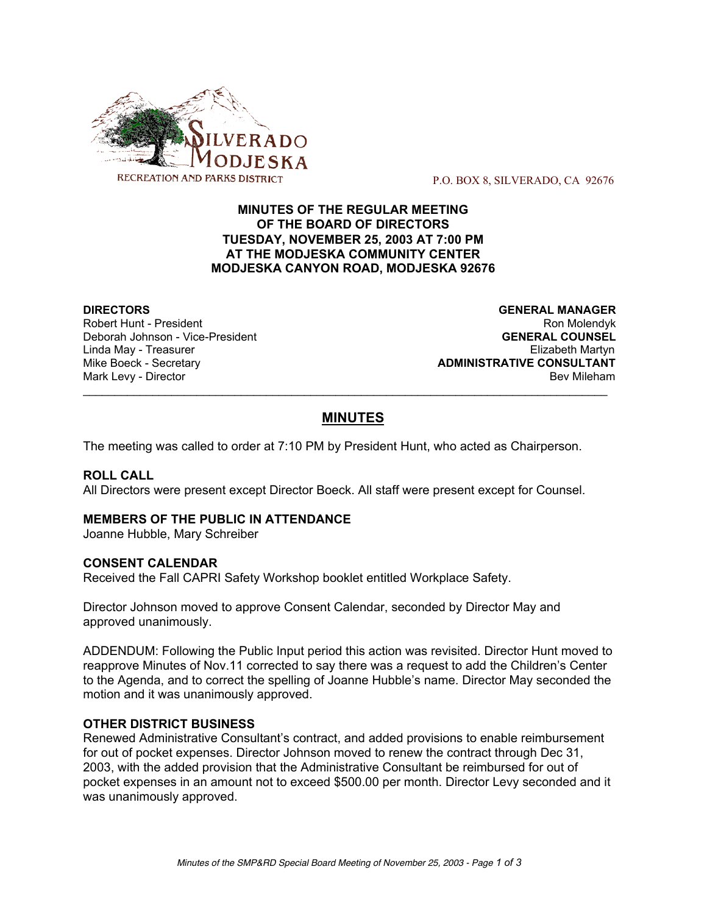

P.O. BOX 8, SILVERADO, CA 92676

# **MINUTES OF THE REGULAR MEETING OF THE BOARD OF DIRECTORS TUESDAY, NOVEMBER 25, 2003 AT 7:00 PM AT THE MODJESKA COMMUNITY CENTER MODJESKA CANYON ROAD, MODJESKA 92676**

**Deborah Johnson - Vice-President** 

**DIRECTORS GENERAL MANAGER** Robert Hunt - President Robert Hunt - President Australia et al. 2009 Ron Molendyk<br>Deborah Johnson - Vice-President Roman Roman Roman Roman Roman Roman Roman Roman Roman Roman Roman Roman Roman Linda May - Treasurer Elizabeth Martyn Mike Boeck - Secretary **ADMINISTRATIVE CONSULTANT** Mark Levy - Director **Bev Mileham Mark Levy - Director** Bev Mileham

# **MINUTES**

 $\mathcal{L}_\text{max}$  , and the contribution of the contribution of the contribution of the contribution of the contribution of the contribution of the contribution of the contribution of the contribution of the contribution of t

The meeting was called to order at 7:10 PM by President Hunt, who acted as Chairperson.

## **ROLL CALL**

All Directors were present except Director Boeck. All staff were present except for Counsel.

## **MEMBERS OF THE PUBLIC IN ATTENDANCE**

Joanne Hubble, Mary Schreiber

#### **CONSENT CALENDAR**

Received the Fall CAPRI Safety Workshop booklet entitled Workplace Safety.

Director Johnson moved to approve Consent Calendar, seconded by Director May and approved unanimously.

ADDENDUM: Following the Public Input period this action was revisited. Director Hunt moved to reapprove Minutes of Nov.11 corrected to say there was a request to add the Children's Center to the Agenda, and to correct the spelling of Joanne Hubble's name. Director May seconded the motion and it was unanimously approved.

## **OTHER DISTRICT BUSINESS**

Renewed Administrative Consultant's contract, and added provisions to enable reimbursement for out of pocket expenses. Director Johnson moved to renew the contract through Dec 31, 2003, with the added provision that the Administrative Consultant be reimbursed for out of pocket expenses in an amount not to exceed \$500.00 per month. Director Levy seconded and it was unanimously approved.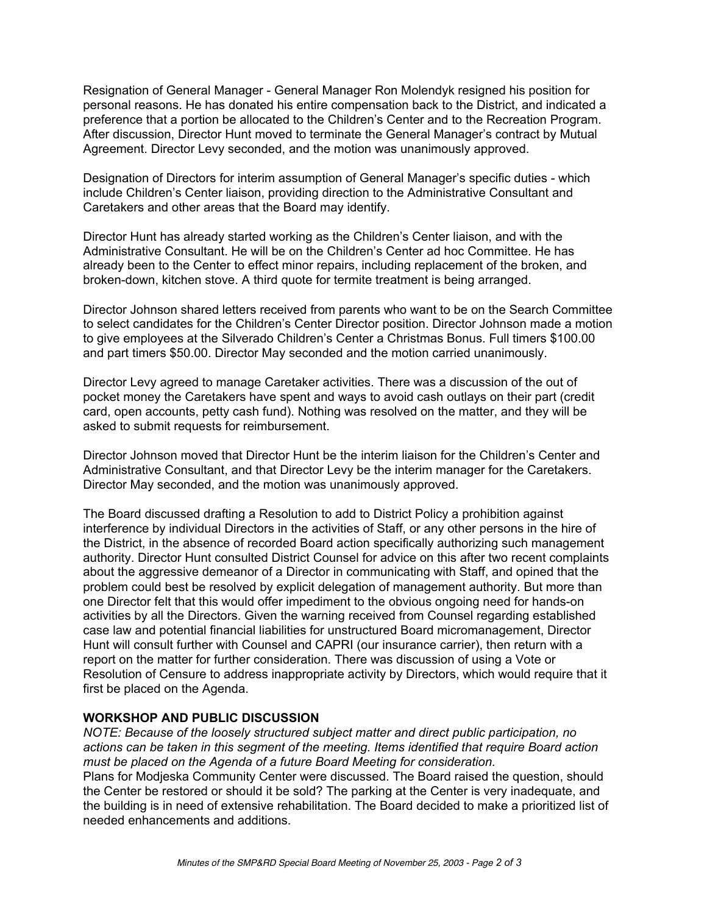Resignation of General Manager - General Manager Ron Molendyk resigned his position for personal reasons. He has donated his entire compensation back to the District, and indicated a preference that a portion be allocated to the Children's Center and to the Recreation Program. After discussion, Director Hunt moved to terminate the General Manager's contract by Mutual Agreement. Director Levy seconded, and the motion was unanimously approved.

Designation of Directors for interim assumption of General Manager's specific duties - which include Children's Center liaison, providing direction to the Administrative Consultant and Caretakers and other areas that the Board may identify.

Director Hunt has already started working as the Children's Center liaison, and with the Administrative Consultant. He will be on the Children's Center ad hoc Committee. He has already been to the Center to effect minor repairs, including replacement of the broken, and broken-down, kitchen stove. A third quote for termite treatment is being arranged.

Director Johnson shared letters received from parents who want to be on the Search Committee to select candidates for the Children's Center Director position. Director Johnson made a motion to give employees at the Silverado Children's Center a Christmas Bonus. Full timers \$100.00 and part timers \$50.00. Director May seconded and the motion carried unanimously.

Director Levy agreed to manage Caretaker activities. There was a discussion of the out of pocket money the Caretakers have spent and ways to avoid cash outlays on their part (credit card, open accounts, petty cash fund). Nothing was resolved on the matter, and they will be asked to submit requests for reimbursement.

Director Johnson moved that Director Hunt be the interim liaison for the Children's Center and Administrative Consultant, and that Director Levy be the interim manager for the Caretakers. Director May seconded, and the motion was unanimously approved.

The Board discussed drafting a Resolution to add to District Policy a prohibition against interference by individual Directors in the activities of Staff, or any other persons in the hire of the District, in the absence of recorded Board action specifically authorizing such management authority. Director Hunt consulted District Counsel for advice on this after two recent complaints about the aggressive demeanor of a Director in communicating with Staff, and opined that the problem could best be resolved by explicit delegation of management authority. But more than one Director felt that this would offer impediment to the obvious ongoing need for hands-on activities by all the Directors. Given the warning received from Counsel regarding established case law and potential financial liabilities for unstructured Board micromanagement, Director Hunt will consult further with Counsel and CAPRI (our insurance carrier), then return with a report on the matter for further consideration. There was discussion of using a Vote or Resolution of Censure to address inappropriate activity by Directors, which would require that it first be placed on the Agenda.

# **WORKSHOP AND PUBLIC DISCUSSION**

*NOTE: Because of the loosely structured subject matter and direct public participation, no actions can be taken in this segment of the meeting. Items identified that require Board action must be placed on the Agenda of a future Board Meeting for consideration.* Plans for Modjeska Community Center were discussed. The Board raised the question, should the Center be restored or should it be sold? The parking at the Center is very inadequate, and the building is in need of extensive rehabilitation. The Board decided to make a prioritized list of needed enhancements and additions.